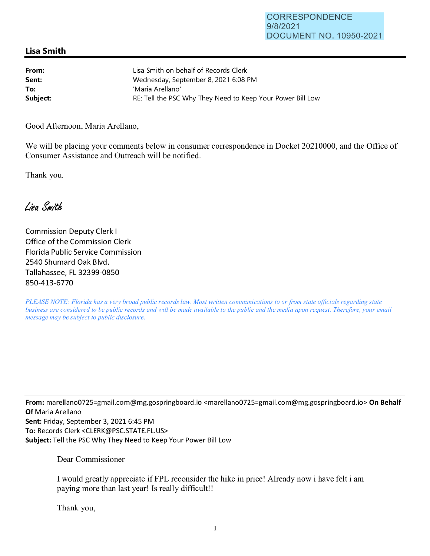## **Lisa Smith**

| From:    | Lisa Smith on behalf of Records Clerk                      |
|----------|------------------------------------------------------------|
| Sent:    | Wednesday, September 8, 2021 6:08 PM                       |
| To:      | 'Maria Arellano'                                           |
| Subject: | RE: Tell the PSC Why They Need to Keep Your Power Bill Low |

Good Afternoon, Maria Arellano,

We will be placing your comments below in consumer correspondence in Docket 20210000, and the Office of Consumer Assistance and Outreach will be notified.

Thank you.

Lisa Smith

Commission Deputy Clerk I Office of the Commission Clerk Florida Public Service Commission 2540 Shumard Oak Blvd. Tallahassee, FL 32399-0850 850-413-6770

*PLEASE NOTE: Florida has a very broad public records law. Most written communications to or from state officials regarding state business are considered to be public records and will be made available to the public and the media upon request. Therefore, your email message may be subject to public disclosure.* 

**From:** mare11ano0725=gmai1.com@mg.gospringboard.io <marellano0725=gmail.com@mg.gospringboard.io> **On Behalf Of** Maria Arellano **Sent:** Friday, September 3, 2021 6:45 PM **To:** Records Clerk <CLERK@PSC.STATE.FL.US> **Subject:** Tell the PSC Why They Need to Keep Your Power Bill Low

Dear Commissioner

I would greatly appreciate if FPL reconsider the hike in price! Already now i have felt i am paying more than last year! Is really difficult!!

Thank you,